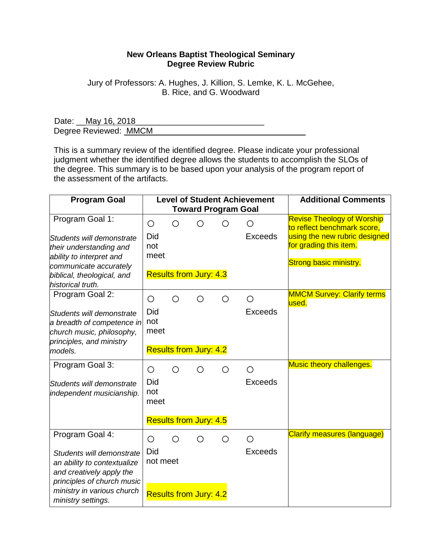## **New Orleans Baptist Theological Seminary Degree Review Rubric**

Jury of Professors: A. Hughes, J. Killion, S. Lemke, K. L. McGehee, B. Rice, and G. Woodward

Date: <u>May 16, 2018</u> Degree Reviewed: MMCM

This is a summary review of the identified degree. Please indicate your professional judgment whether the identified degree allows the students to accomplish the SLOs of the degree. This summary is to be based upon your analysis of the program report of the assessment of the artifacts.

| <b>Program Goal</b>                                                                                                                                                                       |                         |   |                                             | <b>Level of Student Achievement</b><br><b>Toward Program Goal</b> | <b>Additional Comments</b>                               |                                                                                                                                                              |
|-------------------------------------------------------------------------------------------------------------------------------------------------------------------------------------------|-------------------------|---|---------------------------------------------|-------------------------------------------------------------------|----------------------------------------------------------|--------------------------------------------------------------------------------------------------------------------------------------------------------------|
| Program Goal 1:<br>Students will demonstrate<br>their understanding and<br>ability to interpret and<br>communicate accurately<br>biblical, theological, and<br>historical truth.          | O<br>Did<br>not<br>meet | O | ◯<br><b>Results from Jury: 4.3</b>          |                                                                   | $\left(\begin{array}{c} 1 \end{array}\right)$<br>Exceeds | <b>Revise Theology of Worship</b><br>to reflect benchmark score,<br>using the new rubric designed<br>for grading this item.<br><b>Strong basic ministry.</b> |
| Program Goal 2:<br>Students will demonstrate<br>a breadth of competence in<br>church music, philosophy,<br>principles, and ministry<br>models.                                            | O<br>Did<br>not<br>meet | Ο | ◯<br><b>Results from Jury: 4.2</b>          | О                                                                 | Ο<br><b>Exceeds</b>                                      | <b>MMCM Survey: Clarify terms</b><br>used.                                                                                                                   |
| Program Goal 3:<br>Students will demonstrate<br>independent musicianship.                                                                                                                 | O<br>Did<br>not<br>meet | Ο | O<br><b>Results from Jury: 4.5</b>          | ∩                                                                 | ∩<br><b>Exceeds</b>                                      | Music theory challenges.                                                                                                                                     |
| Program Goal 4:<br>Students will demonstrate<br>an ability to contextualize<br>and creatively apply the<br>principles of church music<br>ministry in various church<br>ministry settings. | O<br>Did<br>not meet    | ◯ | $\bigcirc$<br><b>Results from Jury: 4.2</b> | ◯                                                                 | $\bigcirc$<br>Exceeds                                    | <b>Clarify measures (language)</b>                                                                                                                           |